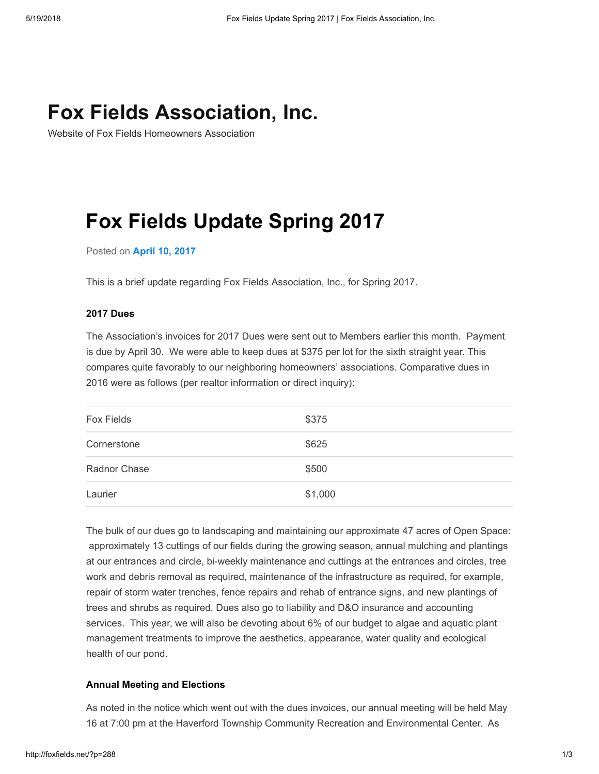## [Fox Fields Association, Inc.](http://foxfields.net/)

Website of Fox Fields Homeowners Association

# Fox Fields Update Spring 2017

Posted on [April](http://foxfields.net/?p=288) 10, 2017

This is a brief update regarding Fox Fields Association, Inc., for Spring 2017.

### 2017 Dues

The Association's invoices for 2017 Dues were sent out to Members earlier this month. Payment is due by April 30. We were able to keep dues at \$375 per lot for the sixth straight year. This compares quite favorably to our neighboring homeowners' associations. Comparative dues in 2016 were as follows (per realtor information or direct inquiry):

| Fox Fields   | \$375   |
|--------------|---------|
| Cornerstone  | \$625   |
| Radnor Chase | \$500   |
| Laurier      | \$1,000 |

The bulk of our dues go to landscaping and maintaining our approximate 47 acres of Open Space: approximately 13 cuttings of our fields during the growing season, annual mulching and plantings at our entrances and circle, bi-weekly maintenance and cuttings at the entrances and circles, tree work and debris removal as required, maintenance of the infrastructure as required, for example, repair of storm water trenches, fence repairs and rehab of entrance signs, and new plantings of trees and shrubs as required. Dues also go to liability and D&O insurance and accounting services. This year, we will also be devoting about 6% of our budget to algae and aquatic plant management treatments to improve the aesthetics, appearance, water quality and ecological health of our pond.

### Annual Meeting and Elections

As noted in the notice which went out with the dues invoices, our annual meeting will be held May 16 at 7:00 pm at the Haverford Township Community Recreation and Environmental Center. As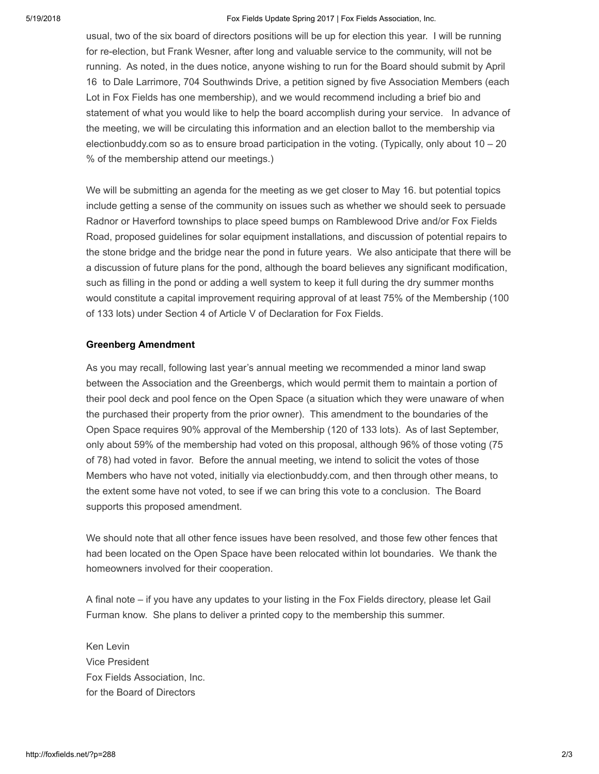5/19/2018 Fox Fields Update Spring 2017 | Fox Fields Association, Inc.

usual, two of the six board of directors positions will be up for election this year. I will be running for re-election, but Frank Wesner, after long and valuable service to the community, will not be running. As noted, in the dues notice, anyone wishing to run for the Board should submit by April 16 to Dale Larrimore, 704 Southwinds Drive, a petition signed by five Association Members (each Lot in Fox Fields has one membership), and we would recommend including a brief bio and statement of what you would like to help the board accomplish during your service. In advance of the meeting, we will be circulating this information and an election ballot to the membership via electionbuddy.com so as to ensure broad participation in the voting. (Typically, only about  $10 - 20$ % of the membership attend our meetings.)

We will be submitting an agenda for the meeting as we get closer to May 16. but potential topics include getting a sense of the community on issues such as whether we should seek to persuade Radnor or Haverford townships to place speed bumps on Ramblewood Drive and/or Fox Fields Road, proposed guidelines for solar equipment installations, and discussion of potential repairs to the stone bridge and the bridge near the pond in future years. We also anticipate that there will be a discussion of future plans for the pond, although the board believes any significant modification, such as filling in the pond or adding a well system to keep it full during the dry summer months would constitute a capital improvement requiring approval of at least 75% of the Membership (100 of 133 lots) under Section 4 of Article V of Declaration for Fox Fields.

#### Greenberg Amendment

As you may recall, following last year's annual meeting we recommended a minor land swap between the Association and the Greenbergs, which would permit them to maintain a portion of their pool deck and pool fence on the Open Space (a situation which they were unaware of when the purchased their property from the prior owner). This amendment to the boundaries of the Open Space requires 90% approval of the Membership (120 of 133 lots). As of last September, only about 59% of the membership had voted on this proposal, although 96% of those voting (75 of 78) had voted in favor. Before the annual meeting, we intend to solicit the votes of those Members who have not voted, initially via electionbuddy.com, and then through other means, to the extent some have not voted, to see if we can bring this vote to a conclusion. The Board supports this proposed amendment.

We should note that all other fence issues have been resolved, and those few other fences that had been located on the Open Space have been relocated within lot boundaries. We thank the homeowners involved for their cooperation.

A final note – if you have any updates to your listing in the Fox Fields directory, please let Gail Furman know. She plans to deliver a printed copy to the membership this summer.

Ken Levin Vice President Fox Fields Association, Inc. for the Board of Directors